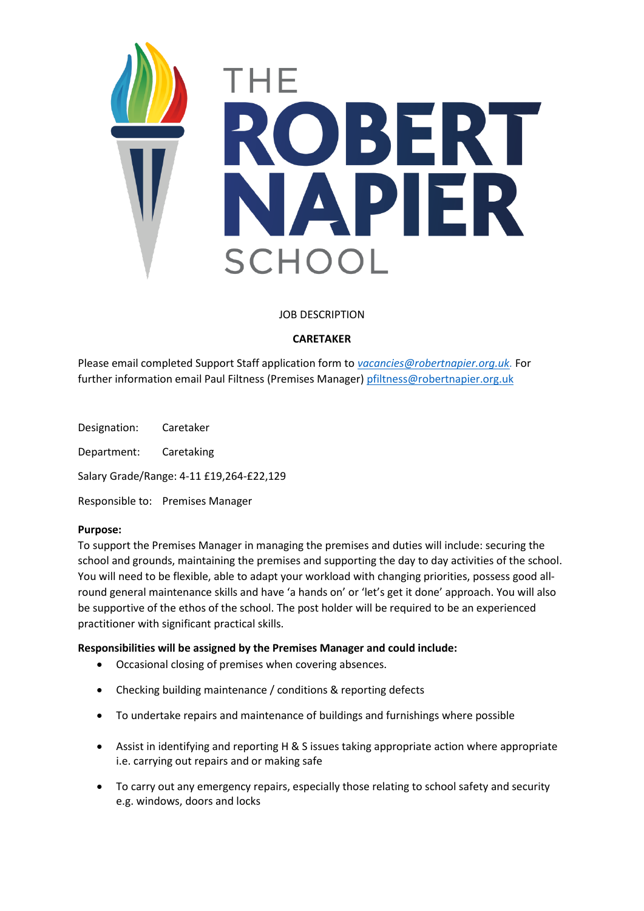

# JOB DESCRIPTION

# **CARETAKER**

Please email completed Support Staff application form to *[vacancies@robertnapier.org.uk.](mailto:vacancies@robertnapier.org.uk)* For further information email Paul Filtness (Premises Manager) [pfiltness@robertnapier.org.uk](mailto:pfiltness@robertnapier.org.uk)

Designation: Caretaker Department: Caretaking Salary Grade/Range: 4-11 £19,264-£22,129 Responsible to: Premises Manager

### **Purpose:**

To support the Premises Manager in managing the premises and duties will include: securing the school and grounds, maintaining the premises and supporting the day to day activities of the school. You will need to be flexible, able to adapt your workload with changing priorities, possess good allround general maintenance skills and have 'a hands on' or 'let's get it done' approach. You will also be supportive of the ethos of the school. The post holder will be required to be an experienced practitioner with significant practical skills.

### **Responsibilities will be assigned by the Premises Manager and could include:**

- Occasional closing of premises when covering absences.
- Checking building maintenance / conditions & reporting defects
- To undertake repairs and maintenance of buildings and furnishings where possible
- Assist in identifying and reporting H & S issues taking appropriate action where appropriate i.e. carrying out repairs and or making safe
- To carry out any emergency repairs, especially those relating to school safety and security e.g. windows, doors and locks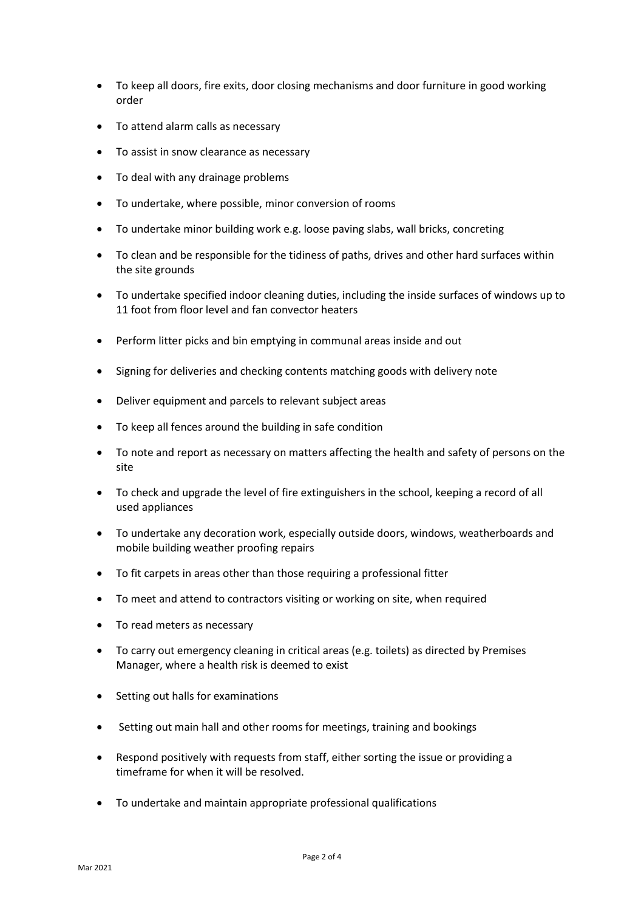- To keep all doors, fire exits, door closing mechanisms and door furniture in good working order
- To attend alarm calls as necessary
- To assist in snow clearance as necessary
- To deal with any drainage problems
- To undertake, where possible, minor conversion of rooms
- To undertake minor building work e.g. loose paving slabs, wall bricks, concreting
- To clean and be responsible for the tidiness of paths, drives and other hard surfaces within the site grounds
- To undertake specified indoor cleaning duties, including the inside surfaces of windows up to 11 foot from floor level and fan convector heaters
- Perform litter picks and bin emptying in communal areas inside and out
- Signing for deliveries and checking contents matching goods with delivery note
- Deliver equipment and parcels to relevant subject areas
- To keep all fences around the building in safe condition
- To note and report as necessary on matters affecting the health and safety of persons on the site
- To check and upgrade the level of fire extinguishers in the school, keeping a record of all used appliances
- To undertake any decoration work, especially outside doors, windows, weatherboards and mobile building weather proofing repairs
- To fit carpets in areas other than those requiring a professional fitter
- To meet and attend to contractors visiting or working on site, when required
- To read meters as necessary
- To carry out emergency cleaning in critical areas (e.g. toilets) as directed by Premises Manager, where a health risk is deemed to exist
- Setting out halls for examinations
- Setting out main hall and other rooms for meetings, training and bookings
- Respond positively with requests from staff, either sorting the issue or providing a timeframe for when it will be resolved.
- To undertake and maintain appropriate professional qualifications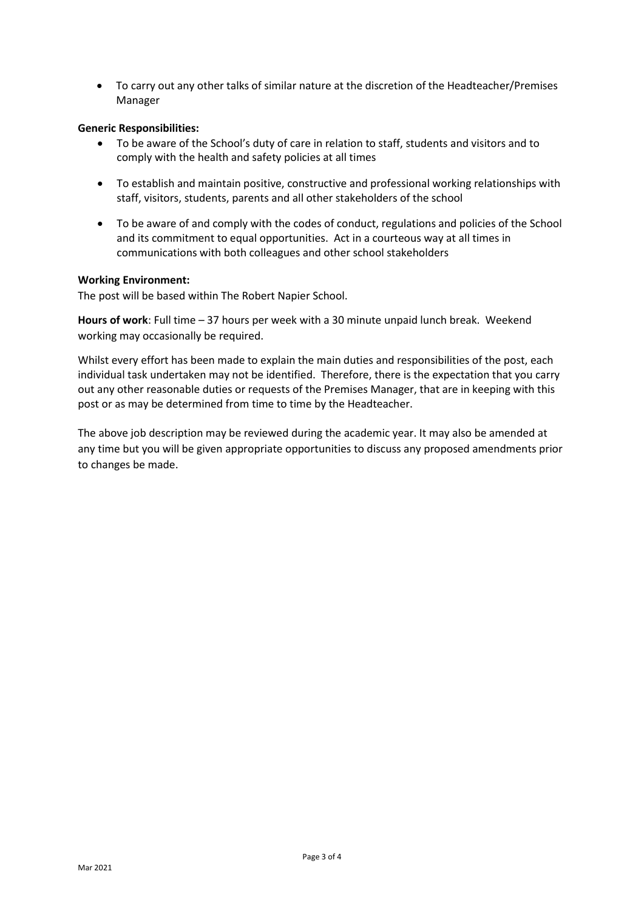• To carry out any other talks of similar nature at the discretion of the Headteacher/Premises Manager

# **Generic Responsibilities:**

- To be aware of the School's duty of care in relation to staff, students and visitors and to comply with the health and safety policies at all times
- To establish and maintain positive, constructive and professional working relationships with staff, visitors, students, parents and all other stakeholders of the school
- To be aware of and comply with the codes of conduct, regulations and policies of the School and its commitment to equal opportunities. Act in a courteous way at all times in communications with both colleagues and other school stakeholders

# **Working Environment:**

The post will be based within The Robert Napier School.

**Hours of work**: Full time – 37 hours per week with a 30 minute unpaid lunch break. Weekend working may occasionally be required.

Whilst every effort has been made to explain the main duties and responsibilities of the post, each individual task undertaken may not be identified. Therefore, there is the expectation that you carry out any other reasonable duties or requests of the Premises Manager, that are in keeping with this post or as may be determined from time to time by the Headteacher.

The above job description may be reviewed during the academic year. It may also be amended at any time but you will be given appropriate opportunities to discuss any proposed amendments prior to changes be made.